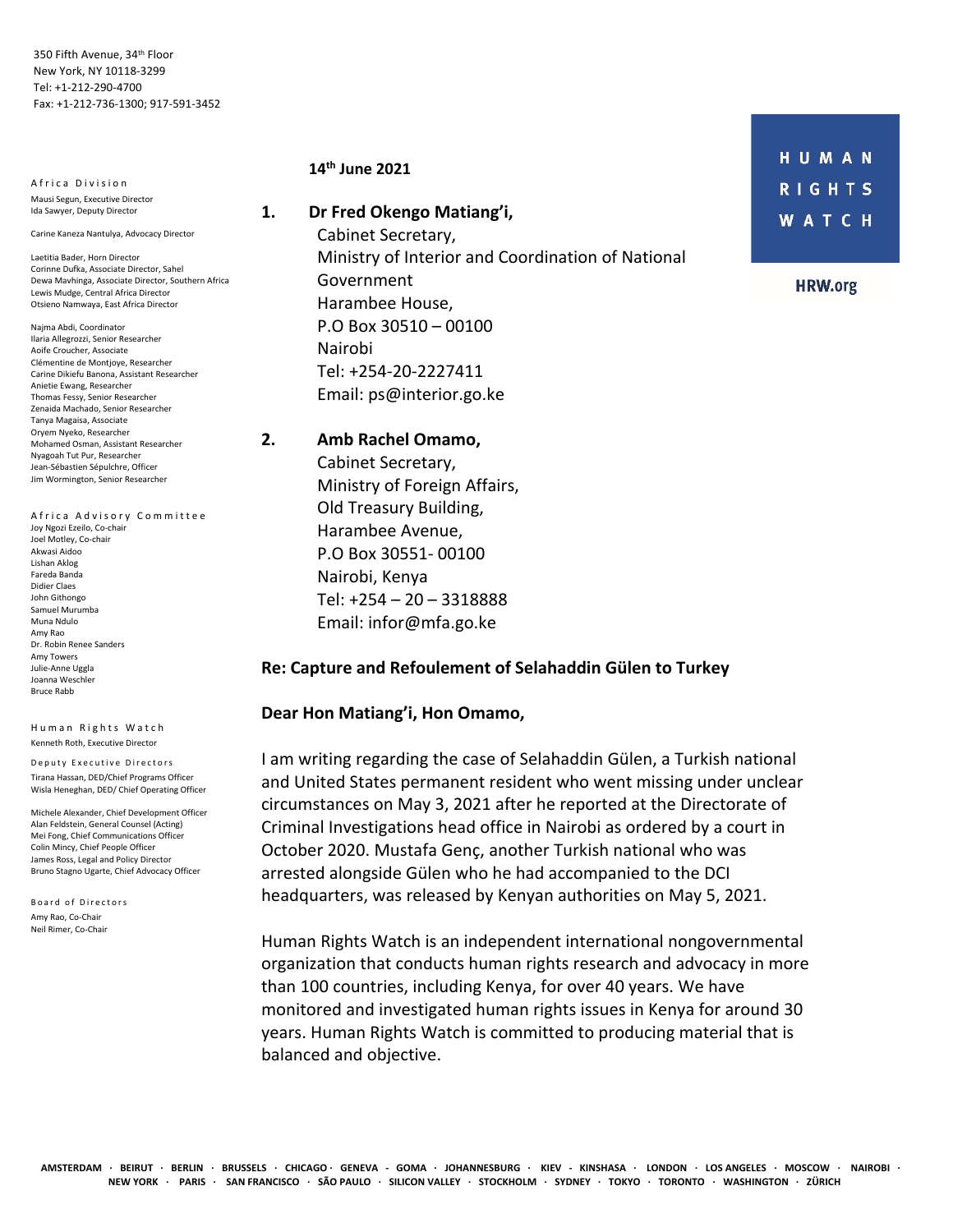350 Fifth Avenue, 34th Floor New York, NY 10118-3299 Tel: +1-212-290-4700 Fax: +1-212-736-1300; 917-591-3452

A frica Division Mausi Segun, Executive Director Ida Sawyer, Deputy Director

Carine Kaneza Nantulya, Advocacy Director

Laetitia Bader, Horn Director Corinne Dufka, Associate Director, Sahel Dewa Mavhinga, Associate Director, Southern Africa Lewis Mudge, Central Africa Director Otsieno Namwaya, East Africa Director

Najma Abdi, Coordinator Ilaria Allegrozzi, Senior Researcher Aoife Croucher, Associate Clémentine de Montjoye, Researcher Carine Dikiefu Banona, Assistant Researcher Anietie Ewang, Researcher Thomas Fessy, Senior Researcher Zenaida Machado, Senior Researcher Tanya Magaisa, Associate Oryem Nyeko, Researcher Mohamed Osman, Assistant Researcher Nyagoah Tut Pur, Researcher Jean-Sébastien Sépulchre, Officer Jim Wormington, Senior Researcher

Africa Advisory Committee Joy Ngozi Ezeilo, Co-chair Joel Motley, Co-chair Akwasi Aidoo Lishan Aklog Fareda Banda Didier Claes John Githongo Samuel Murumba Muna Ndulo Amy Rao Dr. Robin Renee Sanders Amy Towers Julie-Anne Uggla Joanna Weschler Bruce Rabb

Human Rights Watch Kenneth Roth, Executive Director

Deputy Executive Directors Tirana Hassan, DED/Chief Programs Officer Wisla Heneghan, DED/ Chief Operating Officer

Michele Alexander, Chief Development Officer Alan Feldstein, General Counsel (Acting) Mei Fong, Chief Communications Officer Colin Mincy, Chief People Officer James Ross, Legal and Policy Director Bruno Stagno Ugarte, Chief Advocacy Officer

Board of Directors Amy Rao, Co-Chair Neil Rimer, Co-Chair

## **14th June 2021**

**1. Dr Fred Okengo Matiang'i,** Cabinet Secretary, Ministry of Interior and Coordination of National

> Government Harambee House, P.O Box 30510 – 00100 Nairobi Tel: +254-20-2227411 Email: ps@interior.go.ke

## **2. Amb Rachel Omamo,**

 Cabinet Secretary, Ministry of Foreign Affairs, Old Treasury Building, Harambee Avenue, P.O Box 30551- 00100 Nairobi, Kenya Tel: +254 – 20 – 3318888 Email: infor@mfa.go.ke

## **Re: Capture and Refoulement of Selahaddin Gülen to Turkey**

## **Dear Hon Matiang'i, Hon Omamo,**

I am writing regarding the case of Selahaddin Gülen, a Turkish national and United States permanent resident who went missing under unclear circumstances on May 3, 2021 after he reported at the Directorate of Criminal Investigations head office in Nairobi as ordered by a court in October 2020. Mustafa Genç, another Turkish national who was arrested alongside Gülen who he had accompanied to the DCI headquarters, was released by Kenyan authorities on May 5, 2021.

Human Rights Watch is an independent international nongovernmental organization that conducts human rights research and advocacy in more than 100 countries, including Kenya, for over 40 years. We have monitored and investigated human rights issues in Kenya for around 30 years. Human Rights Watch is committed to producing material that is balanced and objective.

HUMAN **RIGHTS WATCH** 

**HRW.org**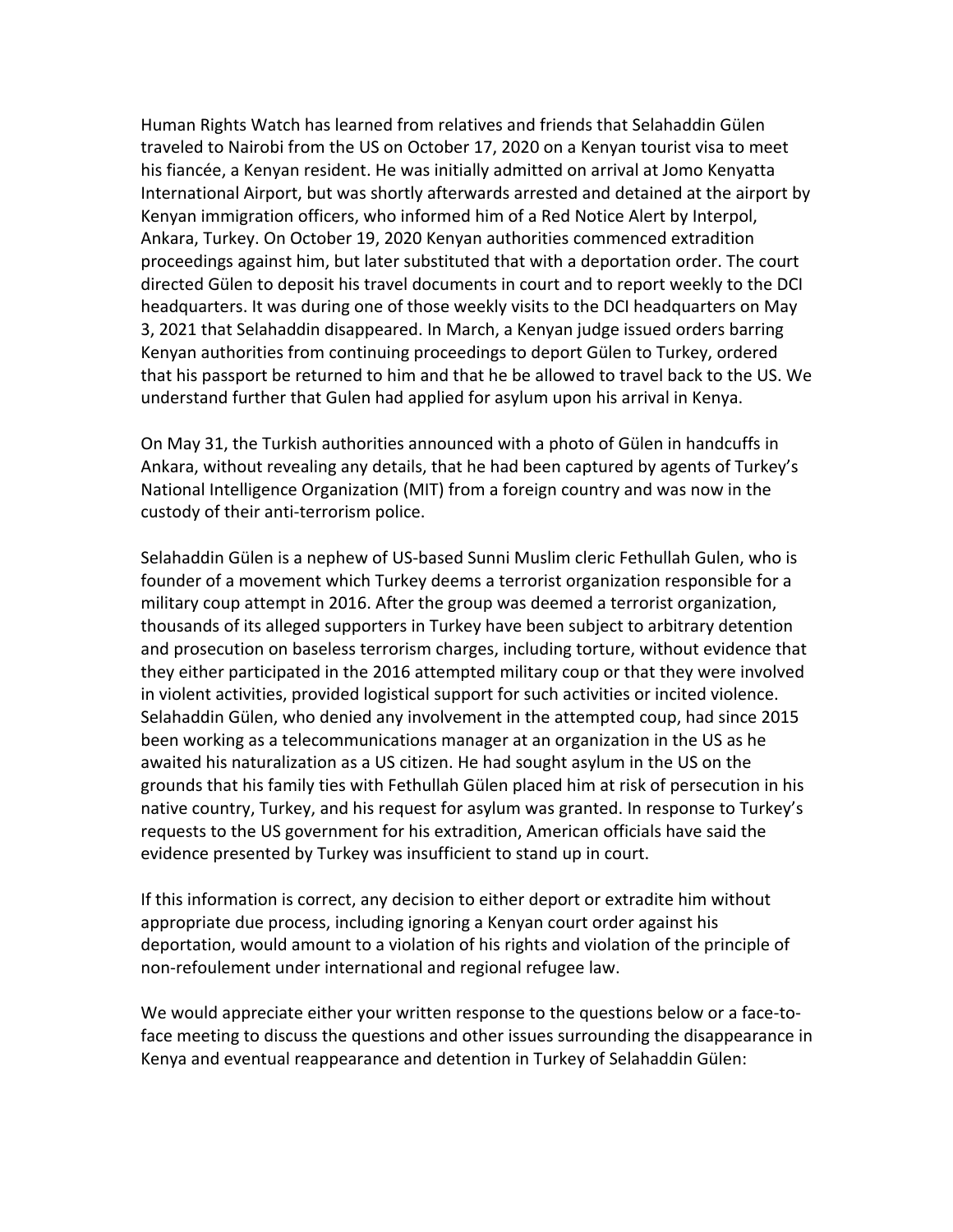Human Rights Watch has learned from relatives and friends that Selahaddin Gülen traveled to Nairobi from the US on October 17, 2020 on a Kenyan tourist visa to meet his fiancée, a Kenyan resident. He was initially admitted on arrival at Jomo Kenyatta International Airport, but was shortly afterwards arrested and detained at the airport by Kenyan immigration officers, who informed him of a Red Notice Alert by Interpol, Ankara, Turkey. On October 19, 2020 Kenyan authorities commenced extradition proceedings against him, but later substituted that with a deportation order. The court directed Gülen to deposit his travel documents in court and to report weekly to the DCI headquarters. It was during one of those weekly visits to the DCI headquarters on May 3, 2021 that Selahaddin disappeared. In March, a Kenyan judge issued orders barring Kenyan authorities from continuing proceedings to deport Gülen to Turkey, ordered that his passport be returned to him and that he be allowed to travel back to the US. We understand further that Gulen had applied for asylum upon his arrival in Kenya.

On May 31, the Turkish authorities announced with a photo of Gülen in handcuffs in Ankara, without revealing any details, that he had been captured by agents of Turkey's National Intelligence Organization (MIT) from a foreign country and was now in the custody of their anti-terrorism police.

Selahaddin Gülen is a nephew of US-based Sunni Muslim cleric Fethullah Gulen, who is founder of a movement which Turkey deems a terrorist organization responsible for a military coup attempt in 2016. After the group was deemed a terrorist organization, thousands of its alleged supporters in Turkey have been subject to arbitrary detention and prosecution on baseless terrorism charges, including torture, without evidence that they either participated in the 2016 attempted military coup or that they were involved in violent activities, provided logistical support for such activities or incited violence. Selahaddin Gülen, who denied any involvement in the attempted coup, had since 2015 been working as a telecommunications manager at an organization in the US as he awaited his naturalization as a US citizen. He had sought asylum in the US on the grounds that his family ties with Fethullah Gülen placed him at risk of persecution in his native country, Turkey, and his request for asylum was granted. In response to Turkey's requests to the US government for his extradition, American officials have said the evidence presented by Turkey was insufficient to stand up in court.

If this information is correct, any decision to either deport or extradite him without appropriate due process, including ignoring a Kenyan court order against his deportation, would amount to a violation of his rights and violation of the principle of non-refoulement under international and regional refugee law.

We would appreciate either your written response to the questions below or a face-toface meeting to discuss the questions and other issues surrounding the disappearance in Kenya and eventual reappearance and detention in Turkey of Selahaddin Gülen: